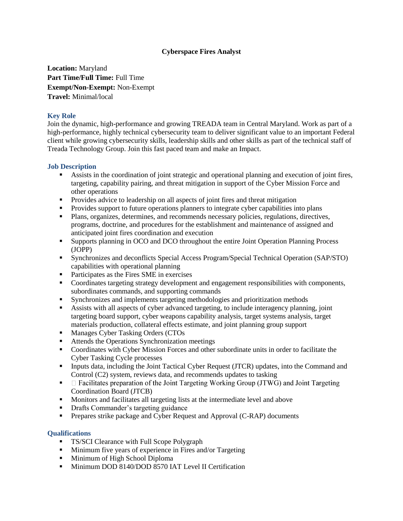## **Cyberspace Fires Analyst**

**Location:** Maryland **Part Time/Full Time:** Full Time **Exempt/Non-Exempt:** Non-Exempt **Travel:** Minimal/local

## **Key Role**

Join the dynamic, high-performance and growing TREADA team in Central Maryland. Work as part of a high-performance, highly technical cybersecurity team to deliver significant value to an important Federal client while growing cybersecurity skills, leadership skills and other skills as part of the technical staff of Treada Technology Group. Join this fast paced team and make an Impact.

## **Job Description**

- Assists in the coordination of joint strategic and operational planning and execution of joint fires, targeting, capability pairing, and threat mitigation in support of the Cyber Mission Force and other operations
- **Provides advice to leadership on all aspects of joint fires and threat mitigation**
- **Provides support to future operations planners to integrate cyber capabilities into plans**
- Plans, organizes, determines, and recommends necessary policies, regulations, directives, programs, doctrine, and procedures for the establishment and maintenance of assigned and anticipated joint fires coordination and execution
- Supports planning in OCO and DCO throughout the entire Joint Operation Planning Process (JOPP)
- Synchronizes and deconflicts Special Access Program/Special Technical Operation (SAP/STO) capabilities with operational planning
- **Participates as the Fires SME in exercises**
- Coordinates targeting strategy development and engagement responsibilities with components, subordinates commands, and supporting commands
- Synchronizes and implements targeting methodologies and prioritization methods
- Assists with all aspects of cyber advanced targeting, to include interagency planning, joint targeting board support, cyber weapons capability analysis, target systems analysis, target materials production, collateral effects estimate, and joint planning group support
- **Manages Cyber Tasking Orders (CTOs**
- Attends the Operations Synchronization meetings
- Coordinates with Cyber Mission Forces and other subordinate units in order to facilitate the Cyber Tasking Cycle processes
- **Inputs data, including the Joint Tactical Cyber Request (JTCR) updates, into the Command and** Control (C2) system, reviews data, and recommends updates to tasking
- $\blacksquare$   $\blacksquare$  Facilitates preparation of the Joint Targeting Working Group (JTWG) and Joint Targeting Coordination Board (JTCB)
- **Monitors and facilitates all targeting lists at the intermediate level and above**
- Drafts Commander's targeting guidance
- **Prepares strike package and Cyber Request and Approval (C-RAP) documents**

## **Qualifications**

- **TS/SCI Clearance with Full Scope Polygraph**
- **Minimum five years of experience in Fires and/or Targeting**
- **Minimum of High School Diploma**
- Minimum DOD 8140/DOD 8570 IAT Level II Certification